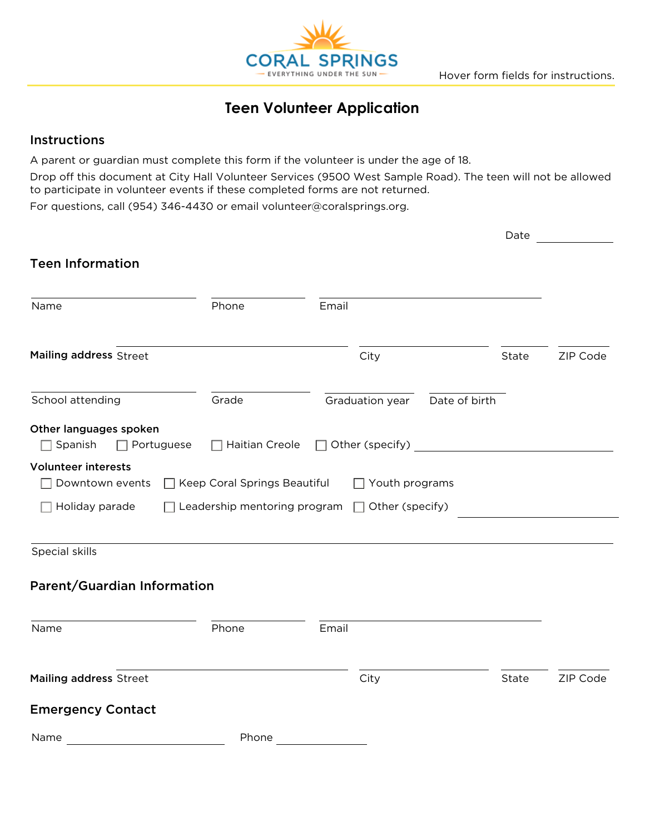

# **Teen Volunteer Application**

### Instructions

A parent or guardian must complete this form if the volunteer is under the age of 18.

Drop off this document at City Hall Volunteer Services (9500 West Sample Road). The teen will not be allowed to participate in volunteer events if these completed forms are not returned.

For questions, call (954) 346-4430 or email volunteer@coralsprings.org.

|                                                               |                                                     |                 |                       |               | Date  |          |  |
|---------------------------------------------------------------|-----------------------------------------------------|-----------------|-----------------------|---------------|-------|----------|--|
| <b>Teen Information</b>                                       |                                                     |                 |                       |               |       |          |  |
| Name                                                          | Phone                                               | Email           |                       |               |       |          |  |
| Mailing address Street                                        |                                                     | City            |                       |               | State | ZIP Code |  |
|                                                               |                                                     |                 |                       |               |       |          |  |
| School attending                                              | Grade                                               | Graduation year |                       | Date of birth |       |          |  |
| Other languages spoken<br>$\Box$ Spanish<br>$\Box$ Portuguese |                                                     |                 |                       |               |       |          |  |
| <b>Volunteer interests</b><br>Downtown events                 | □ Keep Coral Springs Beautiful                      |                 | $\Box$ Youth programs |               |       |          |  |
| Holiday parade                                                | Leadership mentoring program $\Box$ Other (specify) |                 |                       |               |       |          |  |
| Special skills                                                |                                                     |                 |                       |               |       |          |  |
| Parent/Guardian Information                                   |                                                     |                 |                       |               |       |          |  |
| Name                                                          | Phone                                               | Email           |                       |               |       |          |  |
| Mailing address Street                                        |                                                     | City            |                       |               | State | ZIP Code |  |
|                                                               |                                                     |                 |                       |               |       |          |  |
| <b>Emergency Contact</b>                                      |                                                     |                 |                       |               |       |          |  |
| Name                                                          | Phone                                               |                 |                       |               |       |          |  |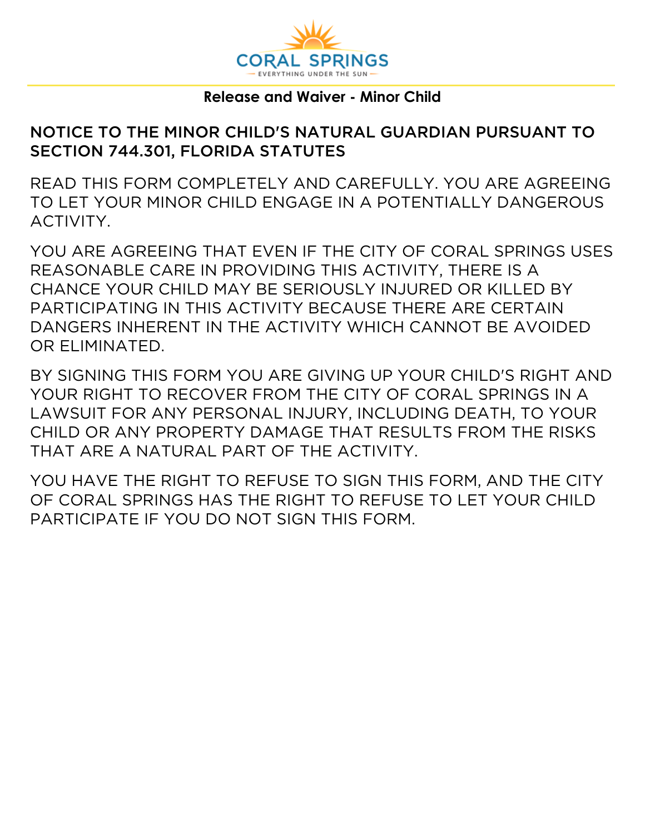

## **Release and Waiver - Minor Child**

# NOTICE TO THE MINOR CHILD'S NATURAL GUARDIAN PURSUANT TO SECTION 744.301, FLORIDA STATUTES

READ THIS FORM COMPLETELY AND CAREFULLY. YOU ARE AGREEING TO LET YOUR MINOR CHILD ENGAGE IN A POTENTIALLY DANGEROUS ACTIVITY.

YOU ARE AGREEING THAT EVEN IF THE CITY OF CORAL SPRINGS USES REASONABLE CARE IN PROVIDING THIS ACTIVITY, THERE IS A CHANCE YOUR CHILD MAY BE SERIOUSLY INJURED OR KILLED BY PARTICIPATING IN THIS ACTIVITY BECAUSE THERE ARE CERTAIN DANGERS INHERENT IN THE ACTIVITY WHICH CANNOT BE AVOIDED OR ELIMINATED.

BY SIGNING THIS FORM YOU ARE GIVING UP YOUR CHILD'S RIGHT AND YOUR RIGHT TO RECOVER FROM THE CITY OF CORAL SPRINGS IN A LAWSUIT FOR ANY PERSONAL INJURY, INCLUDING DEATH, TO YOUR CHILD OR ANY PROPERTY DAMAGE THAT RESULTS FROM THE RISKS THAT ARE A NATURAL PART OF THE ACTIVITY.

YOU HAVE THE RIGHT TO REFUSE TO SIGN THIS FORM, AND THE CITY OF CORAL SPRINGS HAS THE RIGHT TO REFUSE TO LET YOUR CHILD PARTICIPATE IF YOU DO NOT SIGN THIS FORM.